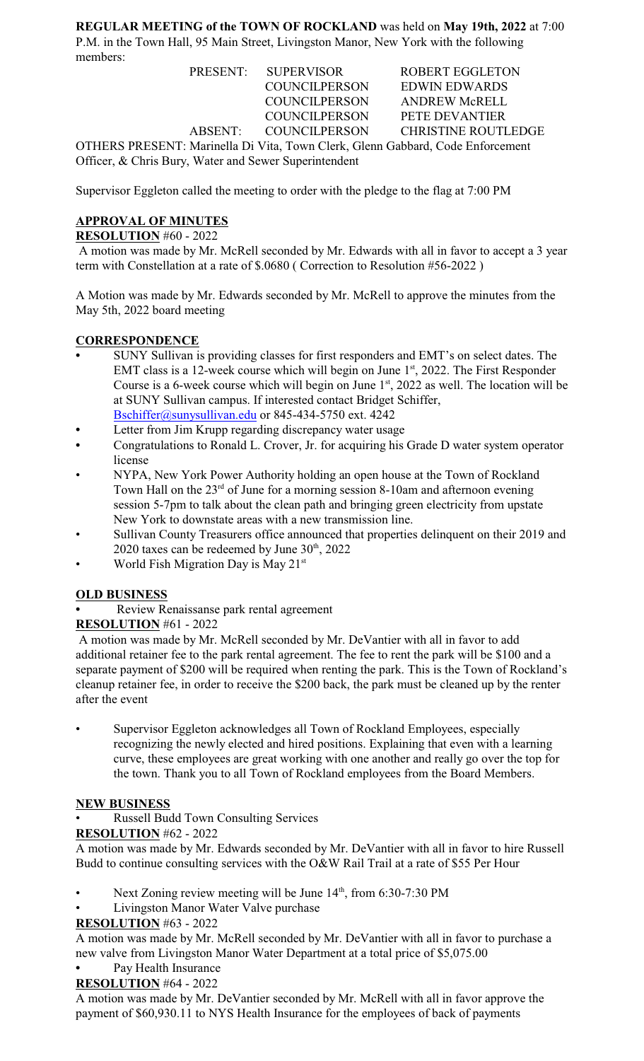**REGULAR MEETING of the TOWN OF ROCKLAND** was held on **May 19th, 2022** at 7:00 P.M. in the Town Hall, 95 Main Street, Livingston Manor, New York with the following members:

|                                                                                | PRESENT: SUPERVISOR   | <b>ROBERT EGGLETON</b>     |  |  |
|--------------------------------------------------------------------------------|-----------------------|----------------------------|--|--|
|                                                                                | <b>COUNCILPERSON</b>  | EDWIN EDWARDS              |  |  |
|                                                                                | <b>COUNCILPERSON</b>  | <b>ANDREW McRELL</b>       |  |  |
|                                                                                | <b>COUNCILPERSON</b>  | PETE DEVANTIER             |  |  |
|                                                                                | ABSENT: COUNCILPERSON | <b>CHRISTINE ROUTLEDGE</b> |  |  |
| OTHERS PRESENT: Marinella Di Vita, Town Clerk, Glenn Gabbard, Code Enforcement |                       |                            |  |  |
| Officer, & Chris Bury, Water and Sewer Superintendent                          |                       |                            |  |  |

Supervisor Eggleton called the meeting to order with the pledge to the flag at 7:00 PM

# **APPROVAL OF MINUTES**

**RESOLUTION** #60 - 2022

 A motion was made by Mr. McRell seconded by Mr. Edwards with all in favor to accept a 3 year term with Constellation at a rate of \$.0680 ( Correction to Resolution #56-2022 )

A Motion was made by Mr. Edwards seconded by Mr. McRell to approve the minutes from the May 5th, 2022 board meeting

#### **CORRESPONDENCE**

- **•** SUNY Sullivan is providing classes for first responders and EMT's on select dates. The EMT class is a 12-week course which will begin on June  $1<sup>st</sup>$ , 2022. The First Responder Course is a 6-week course which will begin on June  $1<sup>st</sup>$ , 2022 as well. The location will be at SUNY Sullivan campus. If interested contact Bridget Schiffer, [Bschiffer@sunysullivan.edu](mailto:Bschiffer@sunysullivan.edu) or 845-434-5750 ext. 4242
- **•** Letter from Jim Krupp regarding discrepancy water usage
- **•** Congratulations to Ronald L. Crover, Jr. for acquiring his Grade D water system operator license
- NYPA, New York Power Authority holding an open house at the Town of Rockland Town Hall on the  $23<sup>rd</sup>$  of June for a morning session 8-10am and afternoon evening session 5-7pm to talk about the clean path and bringing green electricity from upstate New York to downstate areas with a new transmission line.
- Sullivan County Treasurers office announced that properties delinquent on their 2019 and 2020 taxes can be redeemed by June  $30<sup>th</sup>$ , 2022
- World Fish Migration Day is May 21st

#### **OLD BUSINESS**

**•** Review Renaissanse park rental agreement

**RESOLUTION** #61 - 2022

 A motion was made by Mr. McRell seconded by Mr. DeVantier with all in favor to add additional retainer fee to the park rental agreement. The fee to rent the park will be \$100 and a separate payment of \$200 will be required when renting the park. This is the Town of Rockland's cleanup retainer fee, in order to receive the \$200 back, the park must be cleaned up by the renter after the event

• Supervisor Eggleton acknowledges all Town of Rockland Employees, especially recognizing the newly elected and hired positions. Explaining that even with a learning curve, these employees are great working with one another and really go over the top for the town. Thank you to all Town of Rockland employees from the Board Members.

# **NEW BUSINESS**

• Russell Budd Town Consulting Services

# **RESOLUTION** #62 - 2022

A motion was made by Mr. Edwards seconded by Mr. DeVantier with all in favor to hire Russell Budd to continue consulting services with the O&W Rail Trail at a rate of \$55 Per Hour

- Next Zoning review meeting will be June 14<sup>th</sup>, from 6:30-7:30 PM
- Livingston Manor Water Valve purchase

# **RESOLUTION** #63 - 2022

A motion was made by Mr. McRell seconded by Mr. DeVantier with all in favor to purchase a new valve from Livingston Manor Water Department at a total price of \$5,075.00

# **•** Pay Health Insurance

**RESOLUTION** #64 - 2022

A motion was made by Mr. DeVantier seconded by Mr. McRell with all in favor approve the payment of \$60,930.11 to NYS Health Insurance for the employees of back of payments